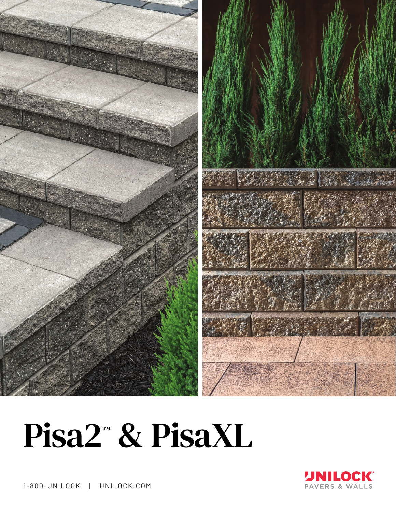

## Pisa2<sup>™</sup> & PisaXL



1-800-UNILOCK | UNILOCK.COM